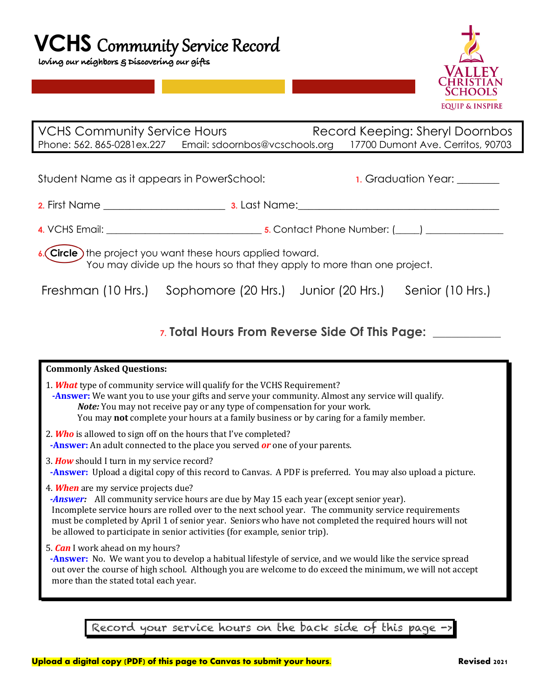## **VCHS** Community Service Record

 **loving our neighbors & Discovering our gifts** 



| <b>VCHS Community Service Hours</b> |                                | Record Keeping: Sheryl Doornbos   |  |
|-------------------------------------|--------------------------------|-----------------------------------|--|
| Phone: 562. 865-0281ex.227          | Email: sdoornbos@vcschools.org | 17700 Dumont Ave. Cerritos, 90703 |  |

| Student Name as it appears in PowerSchool: |               | <b>1.</b> Graduation Year: |  |  |
|--------------------------------------------|---------------|----------------------------|--|--|
| 2. First Name                              | 3. Last Name: |                            |  |  |
| 4. VCHS Email:                             |               | 5. Contact Phone Number: ( |  |  |

**6.** Circle the project you want these hours applied toward. You may divide up the hours so that they apply to more than one project.

Freshman (10 Hrs.) Sophomore (20 Hrs.) Junior (20 Hrs.) Senior (10 Hrs.)

## **7. Total Hours From Reverse Side Of This Page: \_\_\_\_\_\_\_\_\_\_\_**

| <b>Commonly Asked Questions:</b>                                                                                                                                                                                                                                                                                                                                                                                                |
|---------------------------------------------------------------------------------------------------------------------------------------------------------------------------------------------------------------------------------------------------------------------------------------------------------------------------------------------------------------------------------------------------------------------------------|
| 1. <b>What</b> type of community service will qualify for the VCHS Requirement?<br>-Answer: We want you to use your gifts and serve your community. Almost any service will qualify.<br>Note: You may not receive pay or any type of compensation for your work.<br>You may not complete your hours at a family business or by caring for a family member.                                                                      |
| 2. Who is allowed to sign off on the hours that I've completed?<br>-Answer: An adult connected to the place you served or one of your parents.                                                                                                                                                                                                                                                                                  |
| 3. How should I turn in my service record?<br><b>-Answer:</b> Upload a digital copy of this record to Canvas. A PDF is preferred. You may also upload a picture.                                                                                                                                                                                                                                                                |
| 4. When are my service projects due?<br>-Answer: All community service hours are due by May 15 each year (except senior year).<br>Incomplete service hours are rolled over to the next school year. The community service requirements<br>must be completed by April 1 of senior year. Seniors who have not completed the required hours will not<br>be allowed to participate in senior activities (for example, senior trip). |
| 5. <i>Can</i> I work ahead on my hours?<br>-Answer: No. We want you to develop a habitual lifestyle of service, and we would like the service spread<br>out over the course of high school. Although you are welcome to do exceed the minimum, we will not accept<br>more than the stated total each year.                                                                                                                      |
| Record your service hours on the back side of this page ->                                                                                                                                                                                                                                                                                                                                                                      |